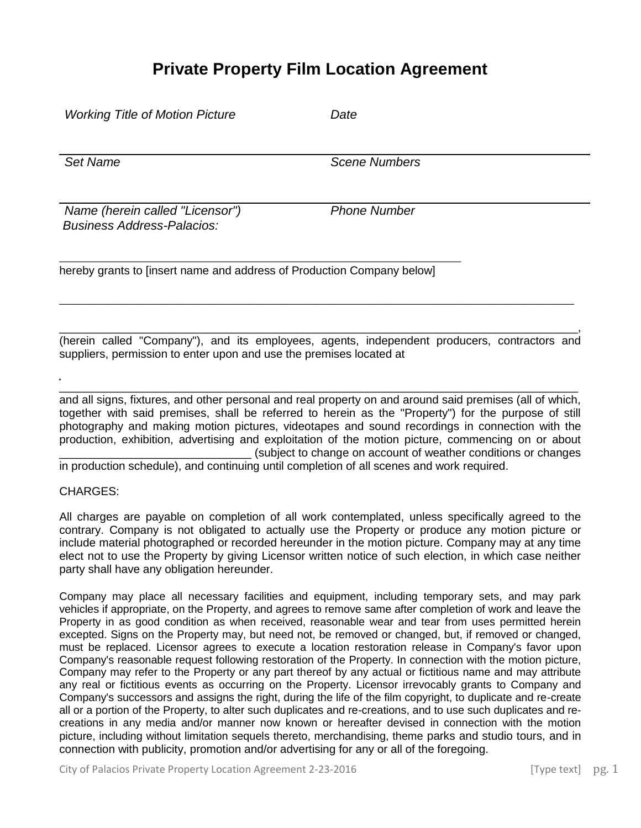## **Private Property Film Location Agreement**

| <b>Working Title of Motion Picture</b>                                                               | Date                                                                                                     |
|------------------------------------------------------------------------------------------------------|----------------------------------------------------------------------------------------------------------|
| <b>Set Name</b>                                                                                      | <b>Scene Numbers</b>                                                                                     |
| Name (herein called "Licensor")<br><b>Business Address-Palacios:</b>                                 | <b>Phone Number</b>                                                                                      |
| hereby grants to finsert name and address of Production Company below                                |                                                                                                          |
| suppliers, permission to enter upon and use the premises located at                                  | (herein called "Company"), and its employees, agents, independent producers, contractors and             |
| together with eaid premises, aboll he referred to beroin as the "Dreperty") for the nurpees of still | and all signs, fixtures, and other personal and real property on and around said premises (all of which, |

together with said premises, shall be referred to herein as the "Property") for the purpose of still photography and making motion pictures, videotapes and sound recordings in connection with the production, exhibition, advertising and exploitation of the motion picture, commencing on or about \_\_\_\_\_\_\_\_\_\_\_\_\_\_\_\_\_\_\_\_\_\_\_\_\_\_\_\_\_\_ (subject to change on account of weather conditions or changes in production schedule), and continuing until completion of all scenes and work required.

## CHARGES:

All charges are payable on completion of all work contemplated, unless specifically agreed to the contrary. Company is not obligated to actually use the Property or produce any motion picture or include material photographed or recorded hereunder in the motion picture. Company may at any time elect not to use the Property by giving Licensor written notice of such election, in which case neither party shall have any obligation hereunder.

Company may place all necessary facilities and equipment, including temporary sets, and may park vehicles if appropriate, on the Property, and agrees to remove same after completion of work and leave the Property in as good condition as when received, reasonable wear and tear from uses permitted herein excepted. Signs on the Property may, but need not, be removed or changed, but, if removed or changed, must be replaced. Licensor agrees to execute a location restoration release in Company's favor upon Company's reasonable request following restoration of the Property. In connection with the motion picture, Company may refer to the Property or any part thereof by any actual or fictitious name and may attribute any real or fictitious events as occurring on the Property. Licensor irrevocably grants to Company and Company's successors and assigns the right, during the life of the film copyright, to duplicate and re-create all or a portion of the Property, to alter such duplicates and re-creations, and to use such duplicates and recreations in any media and/or manner now known or hereafter devised in connection with the motion picture, including without limitation sequels thereto, merchandising, theme parks and studio tours, and in connection with publicity, promotion and/or advertising for any or all of the foregoing.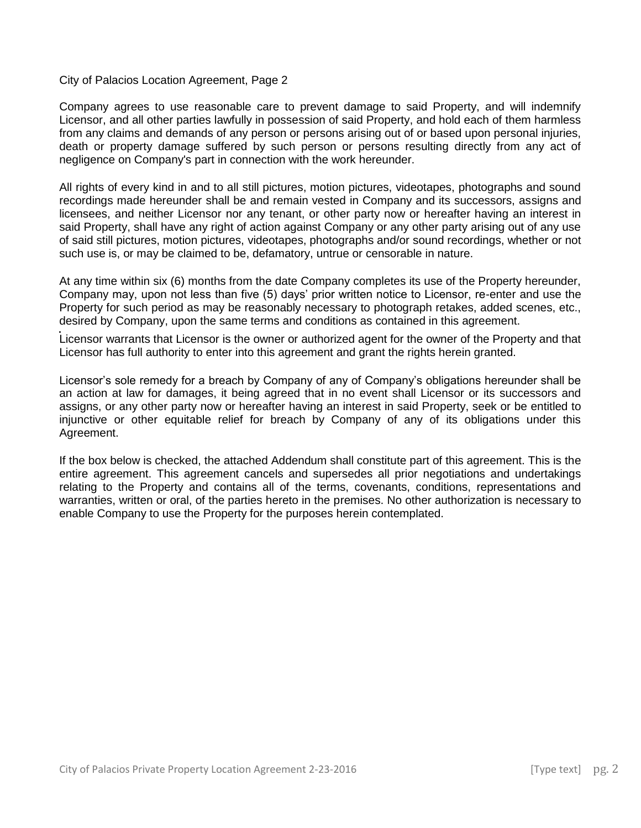## City of Palacios Location Agreement, Page 2

Company agrees to use reasonable care to prevent damage to said Property, and will indemnify Licensor, and all other parties lawfully in possession of said Property, and hold each of them harmless from any claims and demands of any person or persons arising out of or based upon personal injuries, death or property damage suffered by such person or persons resulting directly from any act of negligence on Company's part in connection with the work hereunder.

All rights of every kind in and to all still pictures, motion pictures, videotapes, photographs and sound recordings made hereunder shall be and remain vested in Company and its successors, assigns and licensees, and neither Licensor nor any tenant, or other party now or hereafter having an interest in said Property, shall have any right of action against Company or any other party arising out of any use of said still pictures, motion pictures, videotapes, photographs and/or sound recordings, whether or not such use is, or may be claimed to be, defamatory, untrue or censorable in nature.

At any time within six (6) months from the date Company completes its use of the Property hereunder, Company may, upon not less than five (5) days' prior written notice to Licensor, re-enter and use the Property for such period as may be reasonably necessary to photograph retakes, added scenes, etc., desired by Company, upon the same terms and conditions as contained in this agreement.

Licensor warrants that Licensor is the owner or authorized agent for the owner of the Property and that Licensor has full authority to enter into this agreement and grant the rights herein granted.

Licensor's sole remedy for a breach by Company of any of Company's obligations hereunder shall be an action at law for damages, it being agreed that in no event shall Licensor or its successors and assigns, or any other party now or hereafter having an interest in said Property, seek or be entitled to injunctive or other equitable relief for breach by Company of any of its obligations under this Agreement.

If the box below is checked, the attached Addendum shall constitute part of this agreement. This is the entire agreement. This agreement cancels and supersedes all prior negotiations and undertakings relating to the Property and contains all of the terms, covenants, conditions, representations and warranties, written or oral, of the parties hereto in the premises. No other authorization is necessary to enable Company to use the Property for the purposes herein contemplated.